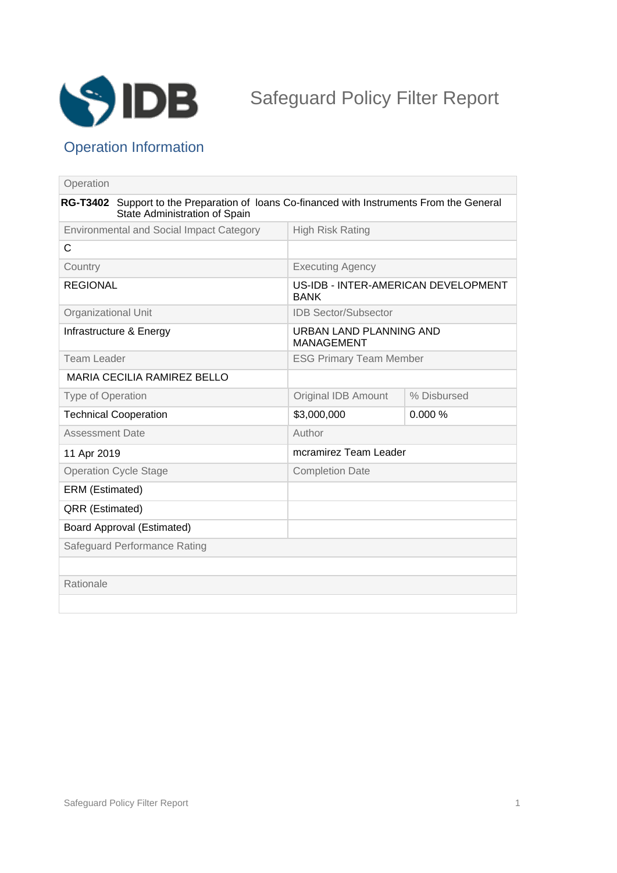

## Operation Information

| Operation                                       |                                                                                                                             |                                                    |             |
|-------------------------------------------------|-----------------------------------------------------------------------------------------------------------------------------|----------------------------------------------------|-------------|
|                                                 | RG-T3402 Support to the Preparation of loans Co-financed with Instruments From the General<br>State Administration of Spain |                                                    |             |
| <b>Environmental and Social Impact Category</b> |                                                                                                                             | <b>High Risk Rating</b>                            |             |
| C                                               |                                                                                                                             |                                                    |             |
| Country                                         |                                                                                                                             | <b>Executing Agency</b>                            |             |
| <b>REGIONAL</b>                                 |                                                                                                                             | US-IDB - INTER-AMERICAN DEVELOPMENT<br><b>BANK</b> |             |
| <b>Organizational Unit</b>                      |                                                                                                                             | <b>IDB Sector/Subsector</b>                        |             |
| Infrastructure & Energy                         |                                                                                                                             | URBAN LAND PLANNING AND<br><b>MANAGEMENT</b>       |             |
| <b>Team Leader</b>                              |                                                                                                                             | <b>ESG Primary Team Member</b>                     |             |
| <b>MARIA CECILIA RAMIREZ BELLO</b>              |                                                                                                                             |                                                    |             |
| <b>Type of Operation</b>                        |                                                                                                                             | <b>Original IDB Amount</b>                         | % Disbursed |
| <b>Technical Cooperation</b>                    |                                                                                                                             | \$3,000,000                                        | 0.000%      |
| <b>Assessment Date</b>                          |                                                                                                                             | Author                                             |             |
| 11 Apr 2019                                     |                                                                                                                             | mcramirez Team Leader                              |             |
| <b>Operation Cycle Stage</b>                    |                                                                                                                             | <b>Completion Date</b>                             |             |
| ERM (Estimated)                                 |                                                                                                                             |                                                    |             |
| QRR (Estimated)                                 |                                                                                                                             |                                                    |             |
| <b>Board Approval (Estimated)</b>               |                                                                                                                             |                                                    |             |
| Safeguard Performance Rating                    |                                                                                                                             |                                                    |             |
|                                                 |                                                                                                                             |                                                    |             |
| Rationale                                       |                                                                                                                             |                                                    |             |
|                                                 |                                                                                                                             |                                                    |             |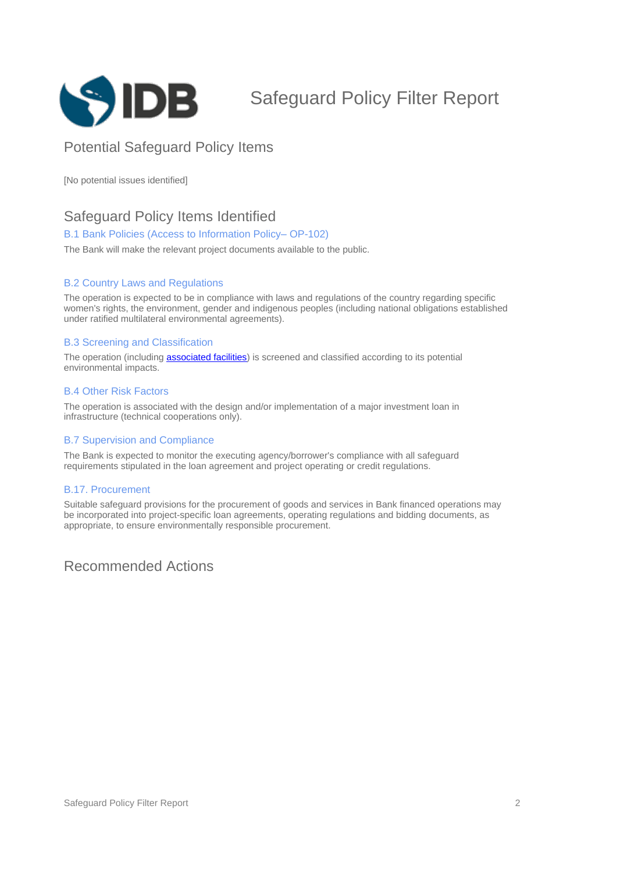

# Safeguard Policy Filter Report

## Potential Safeguard Policy Items

[No potential issues identified]

### Safeguard Policy Items Identified

#### B.1 Bank Policies (Access to Information Policy-OP-102)

The Bank will make the relevant project documents available to the public.

#### B.2 Country Laws and Regulations

The operation is expected to be in compliance with laws and regulations of the country regarding specific women's rights, the environment, gender and indigenous peoples (including national obligations established under ratified multilateral environmental agreements).

#### B.3 Screening and Classification

The operation (including **[associated facilities](javascript:ShowTerm()**) is screened and classified according to its potential environmental impacts.

#### B.4 Other Risk Factors

The operation is associated with the design and/or implementation of a major investment loan in infrastructure (technical cooperations only).

#### B.7 Supervision and Compliance

The Bank is expected to monitor the executing agency/borrower's compliance with all safeguard requirements stipulated in the loan agreement and project operating or credit regulations.

#### B.17. Procurement

Suitable safeguard provisions for the procurement of goods and services in Bank financed operations may be incorporated into project-specific loan agreements, operating regulations and bidding documents, as appropriate, to ensure environmentally responsible procurement.

Recommended Actions